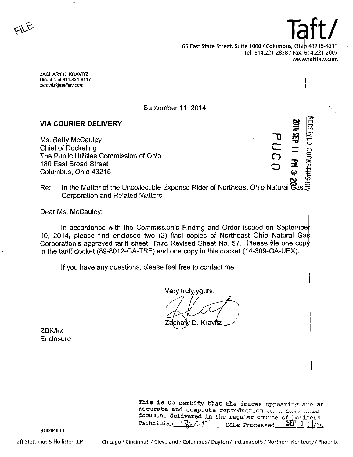$F = \frac{T}{\sqrt{2\pi}}$ 65 East State Street, Suite 1000/ Columbus, Ohio 43215-4213 Tel: 614.221.2838 / Fax: 614.221.2007 www.taftlaw.com

ZACHARY D. KRAVITZ Direct Dial 614.334-6117 zkravitz@taftlaw.com

September 11, 2014

# VIA COURIER DELIVERY

Ms. Betty McCauley Chief of Docketing The Public Utilities Commission of Ohio 180 East Broad Street Columbus, Ohio 43215

 $\sigma$ C o o Ë. •XT  $\mathbf{\Phi}$  $\mathbf{z}$  $\mathbf{\Xi}$ m  $=$   $\frac{1}{2}$ o o

so-m

Re: In the Matter of the Uncollectible Expense Rider of Northeast Ohio Natural Corporation and Related Matters ලි $_{\rm as}$  $\bm{\varphi}$ 

Dear Ms. McCauley:

In accordance with the Commission's Finding and Order issued on September 10, 2014i please find enclosed two (2) final copies of Northeast Ohio Natural Gas Corporation's approved tariff sheet: Third Revised Sheet No. 57. Please file one copy in the tariff docket (89-8012-GA-TRF) and one copy in this docket (14-309-GA-UEX).

If you have any questions, please feel free to contact me.

Very truly.

D. Kravit chaı

ZDK/kk **Enclosure** 

| This is to certify that the images appearing are an   |  |
|-------------------------------------------------------|--|
| accurate and complete reproduction of a case file     |  |
| document delivered in the regular course of basiness. |  |
| <b>SEP 1 1 2014</b><br>Technician WW1 Date Processed  |  |

31629480.1

Taft Stettinius & Hollister LLP

Chicago / Cincinnati / Cleveland / Columbus / Dayton / Indianapolis / Northern Kentucky / Phoenix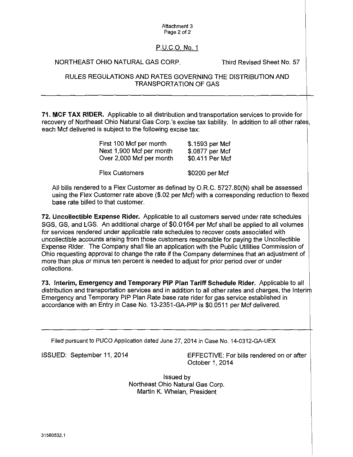#### Attachment 3 Page 2 of 2

# P.U.C.O.No. 1

## NORTHEAST OHIO NATURAL GAS CORP. Third Revised Sheet No. 57

#### RULES REGULATIONS AND RATES GOVERNING THE DISTRIBUTION AND TRANSPORTATION OF GAS

71. MCF TAX RIDER. Applicable to all distribution and transportation services to provide for recovery of Northeast Ohio Natural Gas Corp.'s excise tax liability. In addition to all other rates, each Mcf delivered is subject to the following excise tax;

| First 100 Mcf per month  | \$.1593 per Mcf |
|--------------------------|-----------------|
| Next 1,900 Mcf per month | \$.0877 per Mcf |
| Over 2,000 Mcf per month | \$0.411 Per Mcf |
| <b>Flex Customers</b>    | \$0200 per Mcf  |

All bills rendered to a Flex Customer as defined by O.R.C. 5727.80{N) shall be assessed using the Flex Customer rate above (\$.02 per Mcf) with a corresponding reduction to flexed base rate billed to that customer.

72. Uncollectible Expense Rider. Applicable to all customers served under rate schedules SGS, GS, and LGS. An additional charge of \$0.0164 per Mcf shall be applied to all volumes for services rendered under applicable rate schedules to recover costs associated with uncollectible accounts arising from those customers responsible for paying the Uncollectible Expense Rider. The Company shall file an application with the Public Utilities Commission of Ohio requesting approval to change the rate if the Company determines that an adjustment of more than plus or minus ten percent is needed to adjust for prior period over or under collections.

73. Interim, Emergency and Temporary PIP Plan Tariff Schedule Rider. Applicable to all distribution and transportation services and in addition to all other rates and charges, the Interim Emergency and Temporary PIP Plan Rate base rate rider for gas service established in accordance with an Entry in Case No. 13-2351-GA-PIP is \$0.0511 per Mcf delivered.

Filed pursuant to PUCO Application dated June 27, 2014 in Case No. 14-0312-GA-UEX

ISSUED: September 11, 2014 EFFECTIVE: For bills rendered on or after October 1,2014

> Issued by Northeast Ohio Natural Gas Corp. Martin K. Whelan, President